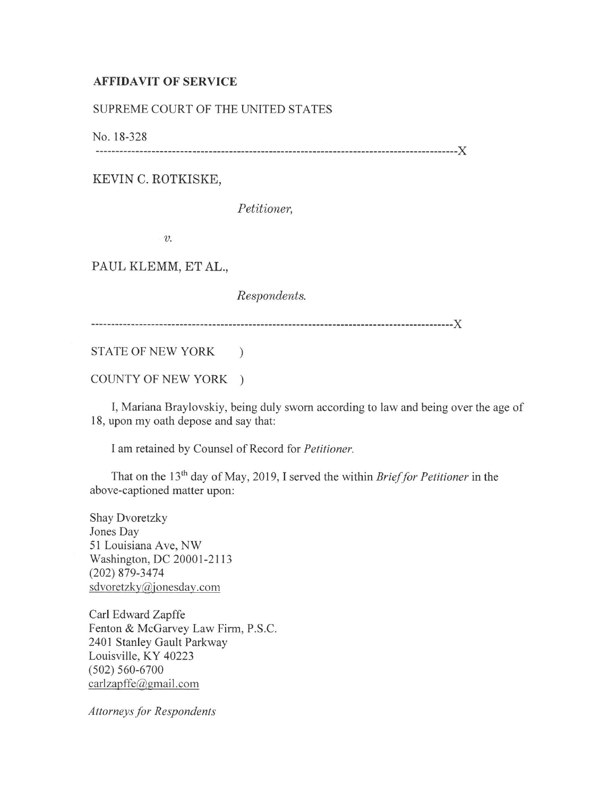## **AFFIDAVIT OF SERVICE**

## SUPREME COURT OF THE UNITED STATES

No. 18-328

------------------------------------------------------------------------------------------)(

KEVIN C. ROTKISKE,

*Petitioner,* 

*v.* 

PAUL KLEMM, ET AL.,

*Respondents.* 

------------------------------------------------------------------------------------------)(

STATE OF NEW YORK )

COUNTY OF NEW YORK )

I, Mariana Braylovskiy, being duly sworn according to law and being over the age of 18, upon my oath depose and say that:

I am retained by Counsel of Record for *Petitioner.* 

That on the 13<sup>th</sup> day of May, 2019, I served the within *Brief for Petitioner* in the above-captioned matter upon:

Shay Dvoretzky Jones Day 51 Louisiana Ave, NW Washington, DC 20001-2113 (202) 879-3474 sdvoretzky@jonesday.com

Carl Edward Zapffe Fenton & McGarvey Law Firm, P.S.C. 2401 Stanley Gault Parkway Louisville, KY 40223 (502) 560-6700 carlzapffe@gmail.com

*Attorneys for Respondents*